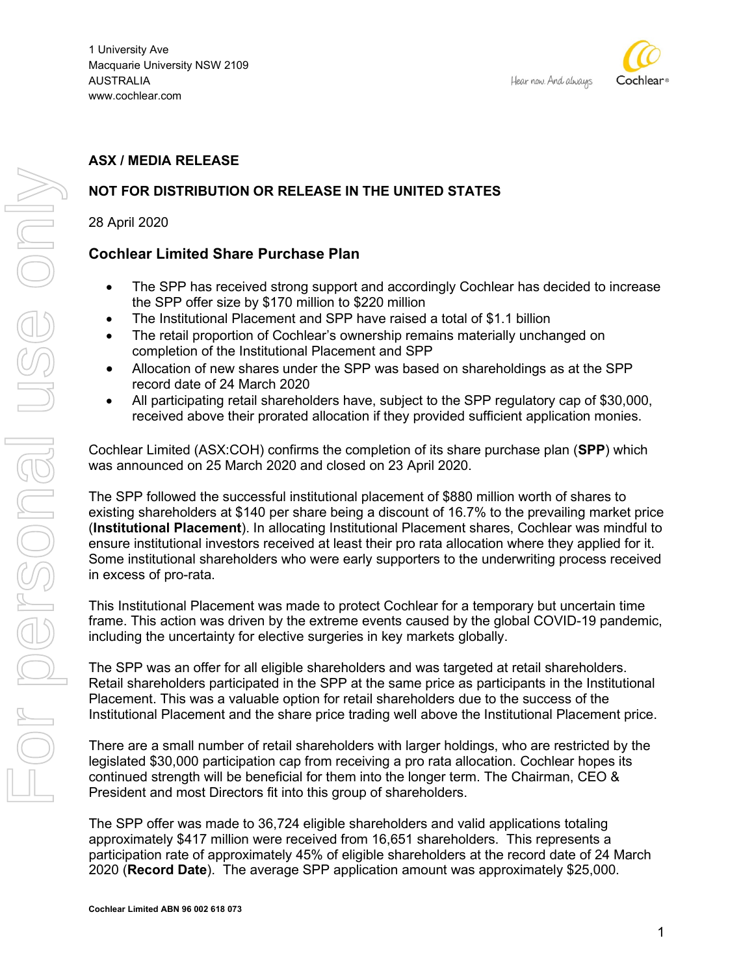

# **ASX / MEDIA RELEASE**

# **NOT FOR DISTRIBUTION OR RELEASE IN THE UNITED STATES**

28 April 2020

## **Cochlear Limited Share Purchase Plan**

- The SPP has received strong support and accordingly Cochlear has decided to increase the SPP offer size by \$170 million to \$220 million
- The Institutional Placement and SPP have raised a total of \$1.1 billion
- The retail proportion of Cochlear's ownership remains materially unchanged on completion of the Institutional Placement and SPP
- Allocation of new shares under the SPP was based on shareholdings as at the SPP record date of 24 March 2020
- All participating retail shareholders have, subject to the SPP regulatory cap of \$30,000, received above their prorated allocation if they provided sufficient application monies.

Cochlear Limited (ASX:COH) confirms the completion of its share purchase plan (**SPP**) which was announced on 25 March 2020 and closed on 23 April 2020.

The SPP followed the successful institutional placement of \$880 million worth of shares to existing shareholders at \$140 per share being a discount of 16.7% to the prevailing market price (**Institutional Placement**). In allocating Institutional Placement shares, Cochlear was mindful to ensure institutional investors received at least their pro rata allocation where they applied for it. Some institutional shareholders who were early supporters to the underwriting process received in excess of pro-rata.

This Institutional Placement was made to protect Cochlear for a temporary but uncertain time frame. This action was driven by the extreme events caused by the global COVID-19 pandemic, including the uncertainty for elective surgeries in key markets globally.

The SPP was an offer for all eligible shareholders and was targeted at retail shareholders. Retail shareholders participated in the SPP at the same price as participants in the Institutional Placement. This was a valuable option for retail shareholders due to the success of the Institutional Placement and the share price trading well above the Institutional Placement price.

There are a small number of retail shareholders with larger holdings, who are restricted by the legislated \$30,000 participation cap from receiving a pro rata allocation. Cochlear hopes its continued strength will be beneficial for them into the longer term. The Chairman, CEO & President and most Directors fit into this group of shareholders.

The SPP offer was made to 36,724 eligible shareholders and valid applications totaling approximately \$417 million were received from 16,651 shareholders. This represents a participation rate of approximately 45% of eligible shareholders at the record date of 24 March 2020 (**Record Date**). The average SPP application amount was approximately \$25,000.

**Cochlear Limited ABN 96 002 618 073**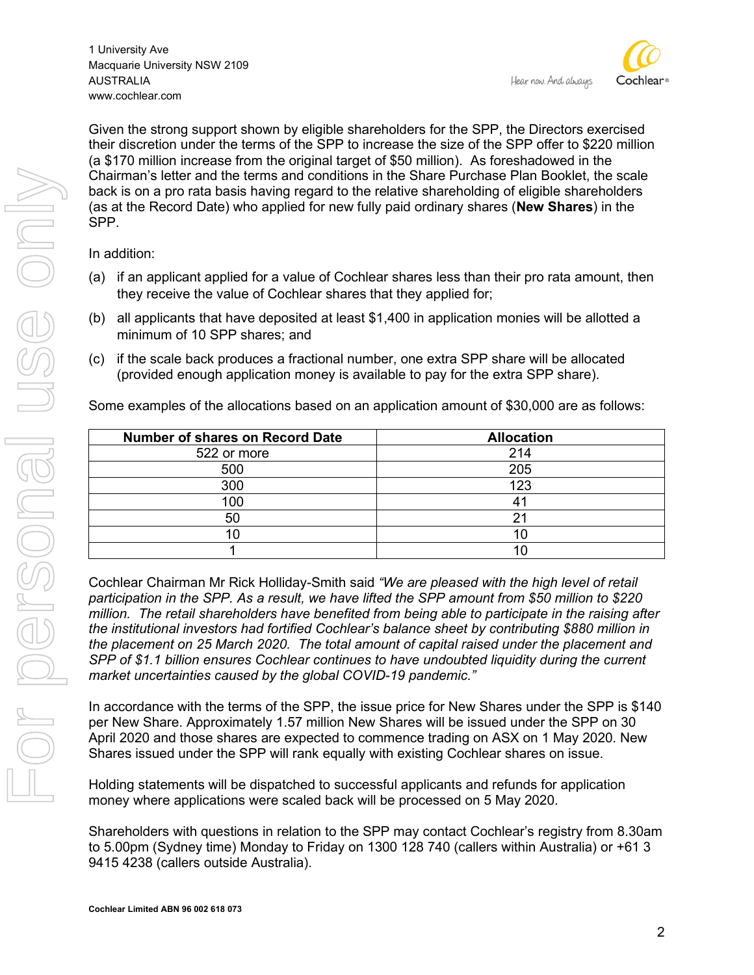1 University Ave Macquarie University NSW 2109 AUSTRALIA www.cochlear.com



Given the strong support shown by eligible shareholders for the SPP, the Directors exercised their discretion under the terms of the SPP to increase the size of the SPP offer to \$220 million (a \$170 million increase from the original target of \$50 million). As foreshadowed in the Chairman's letter and the terms and conditions in the Share Purchase Plan Booklet, the scale back is on a pro rata basis having regard to the relative shareholding of eligible shareholders (as at the Record Date) who applied for new fully paid ordinary shares (**New Shares**) in the SPP.

In addition:

- (a) if an applicant applied for a value of Cochlear shares less than their pro rata amount, then they receive the value of Cochlear shares that they applied for;
- (b) all applicants that have deposited at least \$1,400 in application monies will be allotted a minimum of 10 SPP shares; and
- (c) if the scale back produces a fractional number, one extra SPP share will be allocated (provided enough application money is available to pay for the extra SPP share).

Some examples of the allocations based on an application amount of \$30,000 are as follows:

| <b>Number of shares on Record Date</b> | <b>Allocation</b> |
|----------------------------------------|-------------------|
| 522 or more                            | 214               |
| 500                                    | 205               |
| 300                                    | 123               |
| 100                                    |                   |
| 50                                     |                   |
|                                        |                   |
|                                        |                   |

Cochlear Chairman Mr Rick Holliday-Smith said *"We are pleased with the high level of retail participation in the SPP. As a result, we have lifted the SPP amount from \$50 million to \$220 million. The retail shareholders have benefited from being able to participate in the raising after the institutional investors had fortified Cochlear's balance sheet by contributing \$880 million in the placement on 25 March 2020. The total amount of capital raised under the placement and SPP of \$1.1 billion ensures Cochlear continues to have undoubted liquidity during the current market uncertainties caused by the global COVID-19 pandemic."*

In accordance with the terms of the SPP, the issue price for New Shares under the SPP is \$140 per New Share. Approximately 1.57 million New Shares will be issued under the SPP on 30 April 2020 and those shares are expected to commence trading on ASX on 1 May 2020. New Shares issued under the SPP will rank equally with existing Cochlear shares on issue.

Holding statements will be dispatched to successful applicants and refunds for application money where applications were scaled back will be processed on 5 May 2020.

Shareholders with questions in relation to the SPP may contact Cochlear's registry from 8.30am to 5.00pm (Sydney time) Monday to Friday on 1300 128 740 (callers within Australia) or +61 3 9415 4238 (callers outside Australia).